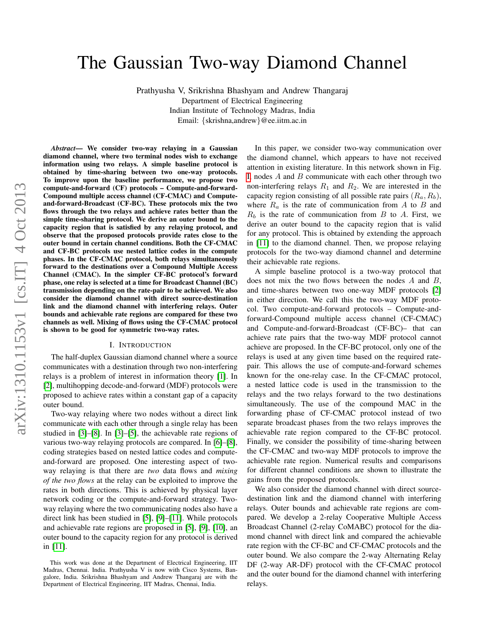# The Gaussian Two-way Diamond Channel

Prathyusha V, Srikrishna Bhashyam and Andrew Thangaraj Department of Electrical Engineering Indian Institute of Technology Madras, India Email: {skrishna,andrew}@ee.iitm.ac.in

*Abstract*— We consider two-way relaying in a Gaussian diamond channel, where two terminal nodes wish to exchange information using two relays. A simple baseline protocol is obtained by time-sharing between two one-way protocols. To improve upon the baseline performance, we propose two compute-and-forward (CF) protocols – Compute-and-forward-Compound multiple access channel (CF-CMAC) and Computeand-forward-Broadcast (CF-BC). These protocols mix the two flows through the two relays and achieve rates better than the simple time-sharing protocol. We derive an outer bound to the capacity region that is satisfied by any relaying protocol, and observe that the proposed protocols provide rates close to the outer bound in certain channel conditions. Both the CF-CMAC and CF-BC protocols use nested lattice codes in the compute phases. In the CF-CMAC protocol, both relays simultaneously forward to the destinations over a Compound Multiple Access Channel (CMAC). In the simpler CF-BC protocol's forward phase, one relay is selected at a time for Broadcast Channel (BC) transmission depending on the rate-pair to be achieved. We also consider the diamond channel with direct source-destination link and the diamond channel with interfering relays. Outer bounds and achievable rate regions are compared for these two channels as well. Mixing of flows using the CF-CMAC protocol is shown to be good for symmetric two-way rates.

#### I. INTRODUCTION

<span id="page-0-0"></span>The half-duplex Gaussian diamond channel where a source communicates with a destination through two non-interfering relays is a problem of interest in information theory [\[1\]](#page-7-0). In [\[2\]](#page-7-1), multihopping decode-and-forward (MDF) protocols were proposed to achieve rates within a constant gap of a capacity outer bound.

Two-way relaying where two nodes without a direct link communicate with each other through a single relay has been studied in [\[3\]](#page-7-2)–[\[8\]](#page-7-3). In [\[3\]](#page-7-2)–[\[5\]](#page-7-4), the achievable rate regions of various two-way relaying protocols are compared. In [\[6\]](#page-7-5)–[\[8\]](#page-7-3), coding strategies based on nested lattice codes and computeand-forward are proposed. One interesting aspect of twoway relaying is that there are *two* data flows and *mixing of the two flows* at the relay can be exploited to improve the rates in both directions. This is achieved by physical layer network coding or the compute-and-forward strategy. Twoway relaying where the two communicating nodes also have a direct link has been studied in [\[5\]](#page-7-4), [\[9\]](#page-7-6)–[\[11\]](#page-7-7). While protocols and achievable rate regions are proposed in [\[5\]](#page-7-4), [\[9\]](#page-7-6), [\[10\]](#page-7-8), an outer bound to the capacity region for any protocol is derived in [\[11\]](#page-7-7).

In this paper, we consider two-way communication over the diamond channel, which appears to have not received attention in existing literature. In this network shown in Fig. [I,](#page-0-0) nodes  $A$  and  $B$  communicate with each other through two non-interfering relays  $R_1$  and  $R_2$ . We are interested in the capacity region consisting of all possible rate pairs  $(R_a, R_b)$ , where  $R_a$  is the rate of communication from A to B and  $R_b$  is the rate of communication from  $B$  to  $A$ . First, we derive an outer bound to the capacity region that is valid for any protocol. This is obtained by extending the approach in [\[11\]](#page-7-7) to the diamond channel. Then, we propose relaying protocols for the two-way diamond channel and determine their achievable rate regions.

A simple baseline protocol is a two-way protocol that does not mix the two flows between the nodes  $A$  and  $B$ , and time-shares between two one-way MDF protocols [\[2\]](#page-7-1) in either direction. We call this the two-way MDF protocol. Two compute-and-forward protocols – Compute-andforward-Compound multiple access channel (CF-CMAC) and Compute-and-forward-Broadcast (CF-BC)– that can achieve rate pairs that the two-way MDF protocol cannot achieve are proposed. In the CF-BC protocol, only one of the relays is used at any given time based on the required ratepair. This allows the use of compute-and-forward schemes known for the one-relay case. In the CF-CMAC protocol, a nested lattice code is used in the transmission to the relays and the two relays forward to the two destinations simultaneously. The use of the compound MAC in the forwarding phase of CF-CMAC protocol instead of two separate broadcast phases from the two relays improves the achievable rate region compared to the CF-BC protocol. Finally, we consider the possibility of time-sharing between the CF-CMAC and two-way MDF protocols to improve the achievable rate region. Numerical results and comparisons for different channel conditions are shown to illustrate the gains from the proposed protocols.

We also consider the diamond channel with direct sourcedestination link and the diamond channel with interfering relays. Outer bounds and achievable rate regions are compared. We develop a 2-relay Cooperative Multiple Access Broadcast Channel (2-relay CoMABC) protocol for the diamond channel with direct link and compared the achievable rate region with the CF-BC and CF-CMAC protocols and the outer bound. We also compare the 2-way Alternating Relay DF (2-way AR-DF) protocol with the CF-CMAC protocol and the outer bound for the diamond channel with interfering relays.

This work was done at the Department of Electrical Engineering, IIT Madras, Chennai. India. Prathyusha V is now with Cisco Systems, Bangalore, India. Srikrishna Bhashyam and Andrew Thangaraj are with the Department of Electrical Engineering, IIT Madras, Chennai, India.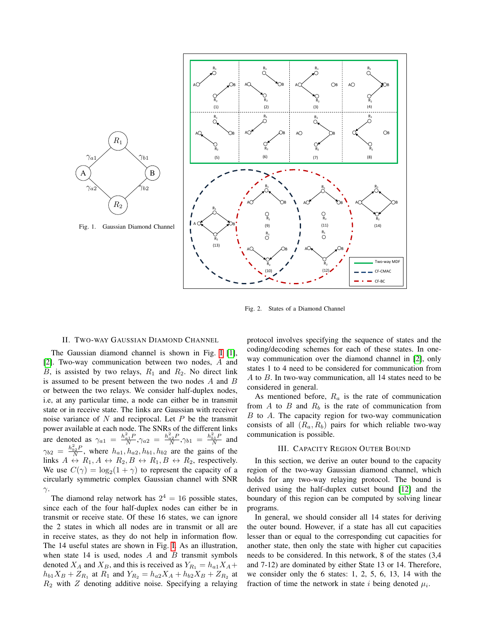

Fig. 2. States of a Diamond Channel

#### <span id="page-1-0"></span>II. TWO-WAY GAUSSIAN DIAMOND CHANNEL

The Gaussian diamond channel is shown in Fig. [I](#page-0-0) [\[1\]](#page-7-0), [\[2\]](#page-7-1). Two-way communication between two nodes, A and B, is assisted by two relays,  $R_1$  and  $R_2$ . No direct link is assumed to be present between the two nodes  $A$  and  $B$ or between the two relays. We consider half-duplex nodes, i.e, at any particular time, a node can either be in transmit state or in receive state. The links are Gaussian with receiver noise variance of  $N$  and reciprocal. Let  $P$  be the transmit power available at each node. The SNRs of the different links are denoted as  $\gamma_{a1} = \frac{h_{a1}^2 P}{N}$ ,  $\gamma_{a2} = \frac{h_{a2}^2 P}{N}$ ,  $\gamma_{b1} = \frac{h_{b1}^2 P}{N}$  and  $\gamma_{b2} = \frac{h_{b2}^2 P}{N}$ , where  $h_{a1}$ ,  $h_{a2}$ ,  $h_{b1}$ ,  $h_{b2}$  are the gains of the links  $A \leftrightarrow R_1, A \leftrightarrow R_2, B \leftrightarrow R_1, B \leftrightarrow R_2$ , respectively. We use  $C(\gamma) = \log_2(1 + \gamma)$  to represent the capacity of a circularly symmetric complex Gaussian channel with SNR γ.

The diamond relay network has  $2^4 = 16$  possible states, since each of the four half-duplex nodes can either be in transmit or receive state. Of these 16 states, we can ignore the 2 states in which all nodes are in transmit or all are in receive states, as they do not help in information flow. The 14 useful states are shown in Fig. [I.](#page-1-0) As an illustration, when state 14 is used, nodes  $A$  and  $B$  transmit symbols denoted  $X_A$  and  $X_B$ , and this is received as  $Y_{R_1} = h_{a1}X_A +$  $h_{b1}X_{B} + Z_{R_1}$  at  $R_1$  and  $Y_{R_2} = h_{a2}X_{A} + h_{b2}X_{B} + Z_{R_2}$  at  $R_2$  with  $Z$  denoting additive noise. Specifying a relaying

protocol involves specifying the sequence of states and the coding/decoding schemes for each of these states. In oneway communication over the diamond channel in [\[2\]](#page-7-1), only states 1 to 4 need to be considered for communication from A to B. In two-way communication, all 14 states need to be considered in general.

As mentioned before,  $R_a$  is the rate of communication from A to B and  $R_b$  is the rate of communication from B to A. The capacity region for two-way communication consists of all  $(R_a, R_b)$  pairs for which reliable two-way communication is possible.

# III. CAPACITY REGION OUTER BOUND

<span id="page-1-1"></span>In this section, we derive an outer bound to the capacity region of the two-way Gaussian diamond channel, which holds for any two-way relaying protocol. The bound is derived using the half-duplex cutset bound [\[12\]](#page-7-9) and the boundary of this region can be computed by solving linear programs.

<span id="page-1-2"></span>In general, we should consider all 14 states for deriving the outer bound. However, if a state has all cut capacities lesser than or equal to the corresponding cut capacities for another state, then only the state with higher cut capacities needs to be considered. In this network, 8 of the states (3,4 and 7-12) are dominated by either State 13 or 14. Therefore, we consider only the 6 states: 1, 2, 5, 6, 13, 14 with the fraction of time the network in state i being denoted  $\mu_i$ .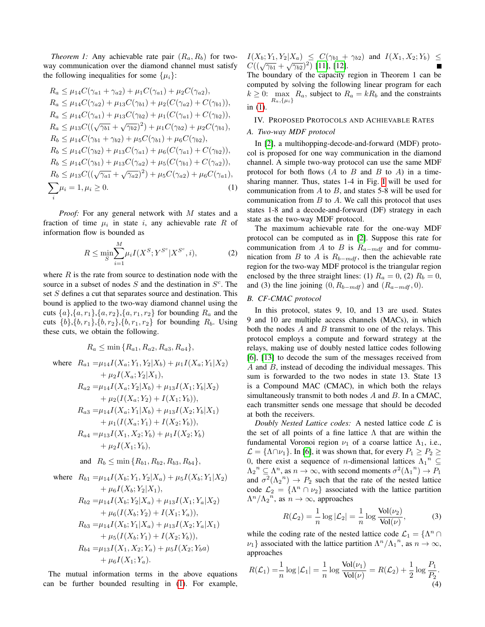*Theorem 1:* Any achievable rate pair  $(R_a, R_b)$  for twoway communication over the diamond channel must satisfy the following inequalities for some  $\{\mu_i\}$ :

$$
R_a \leq \mu_{14}C(\gamma_{a1} + \gamma_{a2}) + \mu_1C(\gamma_{a1}) + \mu_2C(\gamma_{a2}),
$$
  
\n
$$
R_a \leq \mu_{14}C(\gamma_{a2}) + \mu_{13}C(\gamma_{b1}) + \mu_2(C(\gamma_{a2}) + C(\gamma_{b1})),
$$
  
\n
$$
R_a \leq \mu_{14}C(\gamma_{a1}) + \mu_{13}C(\gamma_{b2}) + \mu_1(C(\gamma_{a1}) + C(\gamma_{b2})),
$$
  
\n
$$
R_a \leq \mu_{13}C((\sqrt{\gamma_{b1}} + \sqrt{\gamma_{b2}})^2) + \mu_1C(\gamma_{b2}) + \mu_2C(\gamma_{b1}),
$$
  
\n
$$
R_b \leq \mu_{14}C(\gamma_{b1} + \gamma_{b2}) + \mu_5C(\gamma_{b1}) + \mu_6C(\gamma_{b2}),
$$
  
\n
$$
R_b \leq \mu_{14}C(\gamma_{b2}) + \mu_{13}C(\gamma_{a1}) + \mu_6(C(\gamma_{a1}) + C(\gamma_{b2})),
$$
  
\n
$$
R_b \leq \mu_{14}C(\gamma_{b1}) + \mu_{13}C(\gamma_{a2}) + \mu_5(C(\gamma_{b1}) + C(\gamma_{a2})),
$$
  
\n
$$
R_b \leq \mu_{13}C((\sqrt{\gamma_{a1}} + \sqrt{\gamma_{a2}})^2) + \mu_5C(\gamma_{a2}) + \mu_6C(\gamma_{a1}),
$$
  
\n
$$
\sum_i \mu_i = 1, \mu_i \geq 0.
$$
  
\n(1)

*Proof:* For any general network with M states and a fraction of time  $\mu_i$  in state i, any achievable rate R of information flow is bounded as

$$
R \le \min_{S} \sum_{i=1}^{M} \mu_i I(X^S; Y^{S^c} | X^{S^c}, i),
$$
 (2)

where  $R$  is the rate from source to destination node with the source in a subset of nodes  $S$  and the destination in  $S<sup>c</sup>$ . The set S defines a cut that separates source and destination. This bound is applied to the two-way diamond channel using the cuts  $\{a\}, \{a, r_1\}, \{a, r_2\}, \{a, r_1, r_2\}$  for bounding  $R_a$  and the cuts  $\{b\}, \{b, r_1\}, \{b, r_2\}, \{b, r_1, r_2\}$  for bounding  $R_b$ . Using these cuts, we obtain the following.

$$
R_a \le \min \{R_{a1}, R_{a2}, R_{a3}, R_{a4}\},
$$
  
where  $R_{a1} = \mu_{14}I(X_a; Y_1, Y_2|X_b) + \mu_1I(X_a; Y_1|X_2)$   
 $+ \mu_2I(X_a; Y_2|X_1),$   
 $R_{a2} = \mu_{14}I(X_a; Y_2|X_b) + \mu_{13}I(X_1; Y_b|X_2)$   
 $+ \mu_2(I(X_a; Y_2) + I(X_1; Y_b)),$   
 $R_{a3} = \mu_{14}I(X_a; Y_1|X_b) + \mu_{13}I(X_2; Y_b|X_1)$   
 $+ \mu_1(I(X_a; Y_1) + I(X_2; Y_b)),$   
 $R_{a4} = \mu_{13}I(X_1, X_2; Y_b) + \mu_1I(X_2; Y_b)$   
 $+ \mu_2I(X_1; Y_b),$ 

and 
$$
R_b \le \min\{R_{b1}, R_{b2}, R_{b3}, R_{b4}\},
$$

where 
$$
R_{b1} = \mu_{14}I(X_b; Y_1, Y_2|X_a) + \mu_5I(X_b; Y_1|X_2)
$$
  
\t $+ \mu_6I(X_b; Y_2|X_1),$   
\t $R_{b2} = \mu_{14}I(X_b; Y_2|X_a) + \mu_{13}I(X_1; Y_a|X_2)$   
\t $+ \mu_6(I(X_b; Y_2) + I(X_1; Y_a)),$   
\t $R_{b3} = \mu_{14}I(X_b; Y_1|X_a) + \mu_{13}I(X_2; Y_a|X_1)$   
\t $+ \mu_5(I(X_b; Y_1) + I(X_2; Y_b)),$   
\t $R_{b4} = \mu_{13}I(X_1, X_2; Y_a) + \mu_5I(X_2; Y_ba)$   
\t $+ \mu_6I(X_1; Y_a).$ 

The mutual information terms in the above equations can be further bounded resulting in [\(1\)](#page-2-0). For example,  $I(X_b; Y_1, Y_2 | X_a) \leq C(\gamma_{b1} + \gamma_{b2})$  and  $I(X_1, X_2; Y_b) \leq$  $C((\sqrt{\gamma_{b1}} + \sqrt{\gamma_{b2}})^2)$  [\[11\]](#page-7-7), [\[12\]](#page-7-9).

The boundary of the capacity region in Theorem 1 can be computed by solving the following linear program for each  $k \geq 0$ :  $\max_{a} R_a$ , subject to  $R_a = kR_b$  and the constraints  $\{a,\mu_i\}$ in [\(1\)](#page-2-0).

# IV. PROPOSED PROTOCOLS AND ACHIEVABLE RATES *A. Two-way MDF protocol*

<span id="page-2-0"></span>In [\[2\]](#page-7-1), a multihopping-decode-and-forward (MDF) protocol is proposed for one way communication in the diamond channel. A simple two-way protocol can use the same MDF protocol for both flows  $(A \text{ to } B \text{ and } B \text{ to } A)$  in a timesharing manner. Thus, states 1-4 in Fig. [I](#page-1-0) will be used for communication from  $A$  to  $B$ , and states 5-8 will be used for communication from  $B$  to  $A$ . We call this protocol that uses states 1-8 and a decode-and-forward (DF) strategy in each state as the two-way MDF protocol.

The maximum achievable rate for the one-way MDF protocol can be computed as in [\[2\]](#page-7-1). Suppose this rate for communication from A to B is  $R_{a-mdf}$  and for communication from B to A is  $R_{b-mdf}$ , then the achievable rate region for the two-way MDF protocol is the triangular region enclosed by the three straight lines: (1)  $R_a = 0$ , (2)  $R_b = 0$ , and (3) the line joining  $(0, R_{b-mdf})$  and  $(R_{a-mdf}, 0)$ .

# *B. CF-CMAC protocol*

In this protocol, states 9, 10, and 13 are used. States 9 and 10 are multiple access channels (MACs), in which both the nodes  $A$  and  $B$  transmit to one of the relays. This protocol employs a compute and forward strategy at the relays, making use of doubly nested lattice codes following [\[6\]](#page-7-5), [\[13\]](#page-7-10) to decode the sum of the messages received from A and B, instead of decoding the individual messages. This sum is forwarded to the two nodes in state 13. State 13 is a Compound MAC (CMAC), in which both the relays simultaneously transmit to both nodes A and B. In a CMAC, each transmitter sends one message that should be decoded at both the receivers.

*Doubly Nested Lattice codes:* A nested lattice code L is the set of all points of a fine lattice  $\Lambda$  that are within the fundamental Voronoi region  $\nu_1$  of a coarse lattice  $\Lambda_1$ , i.e.,  $\mathcal{L} = {\Lambda \cap \nu_1}$ . In [\[6\]](#page-7-5), it was shown that, for every  $P_1 \ge P_2 \ge$ 0, there exist a sequence of *n*-dimensional lattices  $\Lambda_1^{\,n} \subseteq$  $\Lambda_2^{\,n} \subseteq \Lambda^n$ , as  $n \to \infty$ , with second moments  $\sigma^2(\Lambda_1^{\,n}) \to P_1$ and  $\sigma^2(\Lambda_2^n) \to P_2$  such that the rate of the nested lattice code  $\mathcal{L}_2 = {\Lambda^n \cap \nu_2}$  associated with the lattice partition  $\Lambda^n/\Lambda_2^n$ , as  $n \to \infty$ , approaches

<span id="page-2-1"></span>
$$
R(\mathcal{L}_2) = \frac{1}{n} \log |\mathcal{L}_2| = \frac{1}{n} \log \frac{\text{Vol}(\nu_2)}{\text{Vol}(\nu)},\tag{3}
$$

while the coding rate of the nested lattice code  $\mathcal{L}_1 = \{ \Lambda^n \cap \Lambda \}$  $\nu_1$ } associated with the lattice partition  $\Lambda^n/\Lambda_1^n$ , as  $n \to \infty$ , approaches

<span id="page-2-2"></span>
$$
R(\mathcal{L}_1) = \frac{1}{n} \log |\mathcal{L}_1| = \frac{1}{n} \log \frac{\text{Vol}(\nu_1)}{\text{Vol}(\nu)} = R(\mathcal{L}_2) + \frac{1}{2} \log \frac{P_1}{P_2}.
$$
\n(4)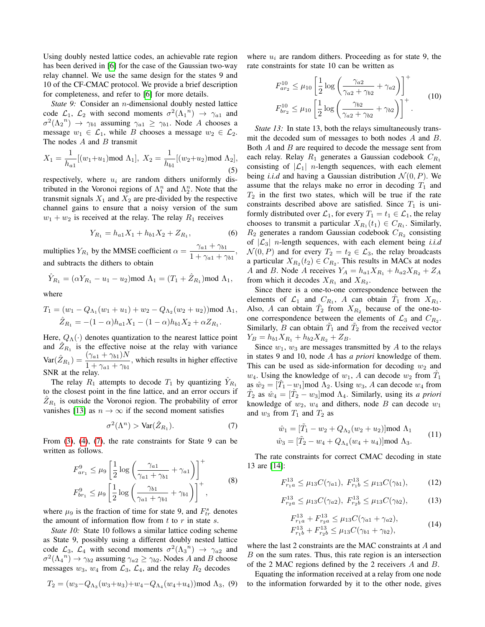Using doubly nested lattice codes, an achievable rate region has been derived in [\[6\]](#page-7-5) for the case of the Gaussian two-way relay channel. We use the same design for the states 9 and 10 of the CF-CMAC protocol. We provide a brief description for completeness, and refer to [\[6\]](#page-7-5) for more details.

*State 9:* Consider an *n*-dimensional doubly nested lattice code  $\mathcal{L}_1$ ,  $\mathcal{L}_2$  with second moments  $\sigma^2(\Lambda_1)^n$   $\rightarrow$   $\gamma_{a_1}$  and  $\sigma^2(\Lambda_2^n) \to \gamma_{b1}$  assuming  $\gamma_{a1} \geq \gamma_{b1}$ . Node A chooses a message  $w_1 \in \mathcal{L}_1$ , while B chooses a message  $w_2 \in \mathcal{L}_2$ . The nodes  $A$  and  $B$  transmit

$$
X_1 = \frac{1}{h_{a1}} [(w_1 + u_1) \text{ mod } \Lambda_1], \ X_2 = \frac{1}{h_{b1}} [(w_2 + u_2) \text{ mod } \Lambda_2],
$$
\n(5)

respectively, where  $u_i$  are random dithers uniformly distributed in the Voronoi regions of  $\Lambda_1^n$  and  $\Lambda_2^n$ . Note that the transmit signals  $X_1$  and  $X_2$  are pre-divided by the respective channel gains to ensure that a noisy version of the sum  $w_1 + w_2$  is received at the relay. The relay  $R_1$  receives

$$
Y_{R_1} = h_{a1}X_1 + h_{b1}X_2 + Z_{R_1},\tag{6}
$$

multiplies  $Y_{R_1}$  by the MMSE coefficient  $\alpha = \frac{\gamma_{a1} + \gamma_{b1}}{1 + \gamma_{b1}}$  $\frac{1}{1 + \gamma_{a1} + \gamma_{b1}}$ and subtracts the dithers to obtain

$$
\hat{Y}_{R_1} = (\alpha Y_{R_1} - u_1 - u_2) \text{mod } \Lambda_1 = (T_1 + \hat{Z}_{R_1}) \text{mod } \Lambda_1,
$$

where

$$
T_1 = (w_1 - Q_{\Lambda_1}(w_1 + u_1) + w_2 - Q_{\Lambda_2}(w_2 + u_2)) \text{mod } \Lambda_1,
$$
  

$$
\hat{Z}_{R_1} = -(1 - \alpha)h_{a1}X_1 - (1 - \alpha)h_{b1}X_2 + \alpha Z_{R_1}.
$$

Here,  $Q_{\Lambda}(\cdot)$  denotes quantization to the nearest lattice point and  $\hat{Z}_{R_1}$  is the effective noise at the relay with variance  $Var(\hat{Z}_{R_1}) = \frac{(\gamma_{a1} + \gamma_{b1})N}{1 + \gamma_{a1} + \gamma_{b1}}$ , which results in higher effective SNR at the relay.

The relay  $R_1$  attempts to decode  $T_1$  by quantizing  $Y_{R_1}$ to the closest point in the fine lattice, and an error occurs if  $\hat{Z}_{R_1}$  is outside the Voronoi region. The probability of error vanishes [\[13\]](#page-7-10) as  $n \to \infty$  if the second moment satisfies

<span id="page-3-0"></span>
$$
\sigma^2(\Lambda^n) > \text{Var}(\hat{Z}_{R_1}).\tag{7}
$$

From [\(3\)](#page-2-1), [\(4\)](#page-2-2), [\(7\)](#page-3-0), the rate constraints for State 9 can be written as follows.

$$
F_{ar_1}^9 \le \mu_9 \left[ \frac{1}{2} \log \left( \frac{\gamma_{a1}}{\gamma_{a1} + \gamma_{b1}} + \gamma_{a1} \right) \right]^+
$$
  

$$
F_{br_1}^9 \le \mu_9 \left[ \frac{1}{2} \log \left( \frac{\gamma_{b1}}{\gamma_{a1} + \gamma_{b1}} + \gamma_{b1} \right) \right]^+,
$$
 (8)

where  $\mu_9$  is the fraction of time for state 9, and  $F_{tr}^s$  denotes the amount of information flow from  $t$  to  $r$  in state  $s$ .

*State 10:* State 10 follows a similar lattice coding scheme as State 9, possibly using a different doubly nested lattice code  $\mathcal{L}_3$ ,  $\mathcal{L}_4$  with second moments  $\sigma^2(\Lambda_3^{\ n}) \to \gamma_{a2}$  and  $\sigma^2(\Lambda_4^n) \to \gamma_{b2}$  assuming  $\gamma_{a2} \ge \gamma_{b2}$ . Nodes A and B choose messages  $w_3$ ,  $w_4$  from  $\mathcal{L}_3$ ,  $\mathcal{L}_4$ , and the relay  $R_2$  decodes

$$
T_2 = (w_3 - Q_{\Lambda_3}(w_3 + u_3) + w_4 - Q_{\Lambda_4}(w_4 + u_4)) \text{mod } \Lambda_3, (9)
$$

where  $u_i$  are random dithers. Proceeding as for state 9, the rate constraints for state 10 can be written as

$$
F_{ar_2}^{10} \le \mu_{10} \left[ \frac{1}{2} \log \left( \frac{\gamma_{a2}}{\gamma_{a2} + \gamma_{b2}} + \gamma_{a2} \right) \right]^+
$$
  

$$
F_{br_2}^{10} \le \mu_{10} \left[ \frac{1}{2} \log \left( \frac{\gamma_{b2}}{\gamma_{a2} + \gamma_{b2}} + \gamma_{b2} \right) \right]^+
$$
(10)

*State 13:* In state 13, both the relays simultaneously transmit the decoded sum of messages to both nodes A and B. Both  $A$  and  $B$  are required to decode the message sent from each relay. Relay  $R_1$  generates a Gaussian codebook  $C_{R_1}$ consisting of  $|\mathcal{L}_1|$  *n*-length sequences, with each element being *i.i.d* and having a Gaussian distribution  $\mathcal{N}(0, P)$ . We assume that the relays make no error in decoding  $T_1$  and  $T_2$  in the first two states, which will be true if the rate constraints described above are satisfied. Since  $T_1$  is uniformly distributed over  $\mathcal{L}_1$ , for every  $T_1 = t_1 \in \mathcal{L}_1$ , the relay chooses to transmit a particular  $X_{R_1}(t_1) \in C_{R_1}$ . Similarly,  $R_2$  generates a random Gaussian codebook  $C_{R_2}$  consisting of |L3| n-length sequences, with each element being *i.i.d*  $\mathcal{N}(0, P)$  and for every  $T_2 = t_2 \in \mathcal{L}_3$ , the relay broadcasts a particular  $X_{R_2}(t_2) \in C_{R_2}$ . This results in MACs at nodes A and B. Node A receives  $Y_A = h_{a1}X_{R_1} + h_{a2}X_{R_2} + Z_A$ from which it decodes  $X_{R_1}$  and  $X_{R_2}$ .

Since there is a one-to-one correspondence between the elements of  $\mathcal{L}_1$  and  $C_{R_1}$ , A can obtain  $\hat{T}_1$  from  $X_{R_1}$ . Also, A can obtain  $\hat{T}_2$  from  $X_{R_2}$  because of the one-toone correspondence between the elements of  $\mathcal{L}_3$  and  $C_{R_2}$ . Similarly, B can obtain  $\tilde{T}_1$  and  $\tilde{T}_2$  from the received vector  $Y_B = h_{b1}X_{R_1} + h_{b2}X_{R_2} + Z_B.$ 

Since  $w_1$ ,  $w_3$  are messages transmitted by A to the relays in states 9 and 10, node A has *a priori* knowledge of them. This can be used as side-information for decoding  $w_2$  and  $w_4$ . Using the knowledge of  $w_1$ , A can decode  $w_2$  from  $\hat{T}_1$ as  $\hat{w}_2 = [\hat{T}_1 - w_1] \text{ mod } \Lambda_2$ . Using  $w_3$ , A can decode  $w_4$  from  $\hat{T}_2$  as  $\hat{w}_4 = [\hat{T}_2 - w_3] \text{mod } \Lambda_4$ . Similarly, using its *a priori* knowledge of  $w_2$ ,  $w_4$  and dithers, node B can decode  $w_1$ and  $w_3$  from  $T_1$  and  $T_2$  as

$$
\hat{w}_1 = [\tilde{T}_1 - w_2 + Q_{\Lambda_2}(w_2 + u_2)] \text{mod } \Lambda_1
$$
  

$$
\hat{w}_3 = [\tilde{T}_2 - w_4 + Q_{\Lambda_4}(w_4 + u_4)] \text{mod } \Lambda_3.
$$
 (11)

The rate constraints for correct CMAC decoding in state 13 are [\[14\]](#page-7-11):

$$
F_{r_1a}^{13} \le \mu_{13} C(\gamma_{a1}), \ F_{r_1b}^{13} \le \mu_{13} C(\gamma_{b1}), \tag{12}
$$

$$
F_{r_2a}^{13} \le \mu_{13} C(\gamma_{a2}), \ F_{r_2b}^{13} \le \mu_{13} C(\gamma_{b2}), \tag{13}
$$

$$
F_{r_{1}a}^{13} + F_{r_{2}a}^{13} \le \mu_{13} C(\gamma_{a1} + \gamma_{a2}),
$$
  
\n
$$
F_{r_{1}b}^{13} + F_{r_{2}b}^{13} \le \mu_{13} C(\gamma_{b1} + \gamma_{b2}),
$$
\n(14)

where the last 2 constraints are the MAC constraints at A and B on the sum rates. Thus, this rate region is an intersection of the 2 MAC regions defined by the 2 receivers A and B.

Equating the information received at a relay from one node to the information forwarded by it to the other node, gives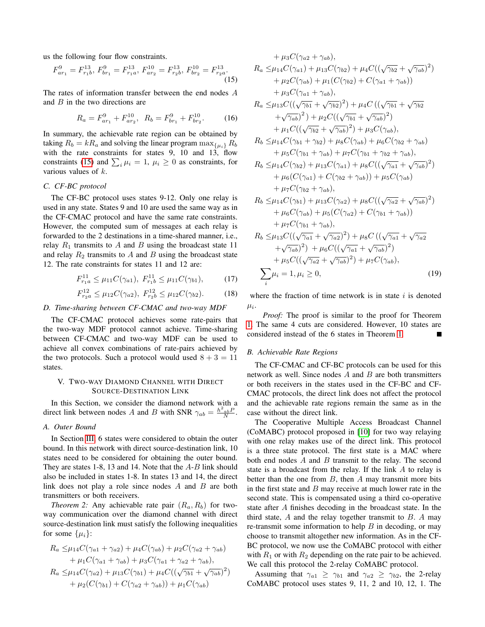us the following four flow constraints.

<span id="page-4-0"></span>
$$
F_{ar_1}^9 = F_{r_1b}^{13}, F_{br_1}^9 = F_{r_1a}^{13}, F_{ar_2}^{10} = F_{r_2b}^{13}, F_{br_2}^{10} = F_{r_2a}^{13}.
$$
\n(15)

The rates of information transfer between the end nodes A and B in the two directions are

$$
R_a = F_{ar_1}^9 + F_{ar_2}^{10}, \ R_b = F_{br_1}^9 + F_{br_2}^{10}.
$$
 (16)

In summary, the achievable rate region can be obtained by taking  $R_b = kR_a$  and solving the linear program  $\max_{\{u_i\}} R_b$ with the rate constraints for states 9, 10 and 13, flow constraints [\(15\)](#page-4-0) and  $\sum_{i} \mu_i = 1$ ,  $\mu_i \ge 0$  as constraints, for various values of  $k$ .

# *C. CF-BC protocol*

The CF-BC protocol uses states 9-12. Only one relay is used in any state. States 9 and 10 are used the same way as in the CF-CMAC protocol and have the same rate constraints. However, the computed sum of messages at each relay is forwarded to the 2 destinations in a time-shared manner, i.e., relay  $R_1$  transmits to A and B using the broadcast state 11 and relay  $R_2$  transmits to  $A$  and  $B$  using the broadcast state 12. The rate constraints for states 11 and 12 are:

$$
F_{r_1a}^{11} \le \mu_{11} C(\gamma_{a1}), \ F_{r_1b}^{11} \le \mu_{11} C(\gamma_{b1}), \tag{17}
$$

$$
F_{r_2a}^{12} \le \mu_{12} C(\gamma_{a2}), \ F_{r_2b}^{12} \le \mu_{12} C(\gamma_{b2}). \tag{18}
$$

# *D. Time-sharing between CF-CMAC and two-way MDF*

The CF-CMAC protocol achieves some rate-pairs that the two-way MDF protocol cannot achieve. Time-sharing between CF-CMAC and two-way MDF can be used to achieve all convex combinations of rate-pairs achieved by the two protocols. Such a protocol would used  $8 + 3 = 11$ states.

# V. TWO-WAY DIAMOND CHANNEL WITH DIRECT SOURCE-DESTINATION LINK

In this Section, we consider the diamond network with a direct link between nodes A and B with SNR  $\gamma_{ab} = \frac{h^2_{ab}P}{N}$ .

# *A. Outer Bound*

In Section [III,](#page-1-1) 6 states were considered to obtain the outer bound. In this network with direct source-destination link, 10 states need to be considered for obtaining the outer bound. They are states 1-8, 13 and 14. Note that the A-B link should also be included in states 1-8. In states 13 and 14, the direct link does not play a role since nodes A and B are both transmitters or both receivers.

*Theorem 2:* Any achievable rate pair  $(R_a, R_b)$  for twoway communication over the diamond channel with direct source-destination link must satisfy the following inequalities for some  $\{\mu_i\}$ :

$$
R_a \leq \mu_{14} C(\gamma_{a1} + \gamma_{a2}) + \mu_4 C(\gamma_{ab}) + \mu_2 C(\gamma_{a2} + \gamma_{ab})
$$
  
+ 
$$
\mu_1 C(\gamma_{a1} + \gamma_{ab}) + \mu_3 C(\gamma_{a1} + \gamma_{a2} + \gamma_{ab}),
$$
  

$$
R_a \leq \mu_{14} C(\gamma_{a2}) + \mu_{13} C(\gamma_{b1}) + \mu_4 C((\sqrt{\gamma_{b1}} + \sqrt{\gamma_{ab}})^2)
$$
  
+ 
$$
\mu_2 (C(\gamma_{b1}) + C(\gamma_{a2} + \gamma_{ab})) + \mu_1 C(\gamma_{ab})
$$

+ 
$$
\mu_3 C(\gamma_{a2} + \gamma_{ab}),
$$
  
\n $R_a \leq \mu_{14} C(\gamma_{a1}) + \mu_{13} C(\gamma_{b2}) + \mu_4 C((\sqrt{\gamma_{b2}} + \sqrt{\gamma_{ab}})^2)$   
\n+  $\mu_2 C(\gamma_{ab}) + \mu_1 (C(\gamma_{b2}) + C(\gamma_{a1} + \gamma_{ab}))$   
\n+  $\mu_3 C(\gamma_{a1} + \gamma_{ab}),$   
\n $R_a \leq \mu_{13} C((\sqrt{\gamma_{b1}} + \sqrt{\gamma_{b2}})^2) + \mu_4 C((\sqrt{\gamma_{b1}} + \sqrt{\gamma_{b2}} + \sqrt{\gamma_{b2}})^2) + \mu_2 C((\sqrt{\gamma_{b1}} + \sqrt{\gamma_{ab}})^2)$   
\n+  $\mu_1 C((\sqrt{\gamma_{b2}} + \sqrt{\gamma_{ab}})^2) + \mu_3 C(\gamma_{ab}),$   
\n $R_b \leq \mu_{14} C(\gamma_{b1} + \gamma_{b2}) + \mu_8 C(\gamma_{ab}) + \mu_6 C(\gamma_{b2} + \gamma_{ab})$   
\n+  $\mu_5 C(\gamma_{b1} + \gamma_{ab}) + \mu_7 C(\gamma_{b1} + \gamma_{b2} + \gamma_{ab}),$   
\n $R_b \leq \mu_{14} C(\gamma_{b2}) + \mu_{13} C(\gamma_{a1}) + \mu_8 C((\sqrt{\gamma_{a1}} + \sqrt{\gamma_{ab}})^2)$   
\n+  $\mu_6 (C(\gamma_{a1}) + C(\gamma_{b2} + \gamma_{ab})) + \mu_5 C(\gamma_{ab})$   
\n+  $\mu_7 C(\gamma_{b2} + \gamma_{ab}),$   
\n $R_b \leq \mu_{14} C(\gamma_{b1}) + \mu_{13} C(\gamma_{a2}) + \mu_8 C((\sqrt{\gamma_{a2}} + \sqrt{\gamma_{ab}})^2)$   
\n+  $\mu_6 C(\gamma_{ab}) + \mu_5 (C(\gamma_{a2}) + C(\gamma_{b1} + \gamma_{ab}))$   
\n+  $\mu_7 C(\gamma_{b1} + \gamma_{ab}),$   
\n $R_b \leq \mu_{13} C((\sqrt{\gamma_{a1}} + \sqrt{\gamma_{a2}})^2) + \mu_8 C((\sqrt{\gamma_{a1}} + \sqrt{\gamma_{a2}})^2)$   
\n+

where the fraction of time network is in state  $i$  is denoted  $\mu_i$ .

*Proof:* The proof is similar to the proof for Theorem [1.](#page-1-2) The same 4 cuts are considered. However, 10 states are considered instead of the 6 states in Theorem [1.](#page-1-2)

## *B. Achievable Rate Regions*

The CF-CMAC and CF-BC protocols can be used for this network as well. Since nodes  $A$  and  $B$  are both transmitters or both receivers in the states used in the CF-BC and CF-CMAC protocols, the direct link does not affect the protocol and the achievable rate regions remain the same as in the case without the direct link.

The Cooperative Multiple Access Broadcast Channel (CoMABC) protocol proposed in [\[10\]](#page-7-8) for two way relaying with one relay makes use of the direct link. This protocol is a three state protocol. The first state is a MAC where both end nodes  $A$  and  $B$  transmit to the relay. The second state is a broadcast from the relay. If the link A to relay is better than the one from  $B$ , then  $A$  may transmit more bits in the first state and  $B$  may receive at much lower rate in the second state. This is compensated using a third co-operative state after A finishes decoding in the broadcast state. In the third state,  $A$  and the relay together transmit to  $B$ .  $A$  may re-transmit some information to help  $B$  in decoding, or may choose to transmit altogether new information. As in the CF-BC protocol, we now use the CoMABC protocol with either with  $R_1$  or with  $R_2$  depending on the rate pair to be achieved. We call this protocol the 2-relay CoMABC protocol.

Assuming that  $\gamma_{a1} \geq \gamma_{b1}$  and  $\gamma_{a2} \geq \gamma_{b2}$ , the 2-relay CoMABC protocol uses states 9, 11, 2 and 10, 12, 1. The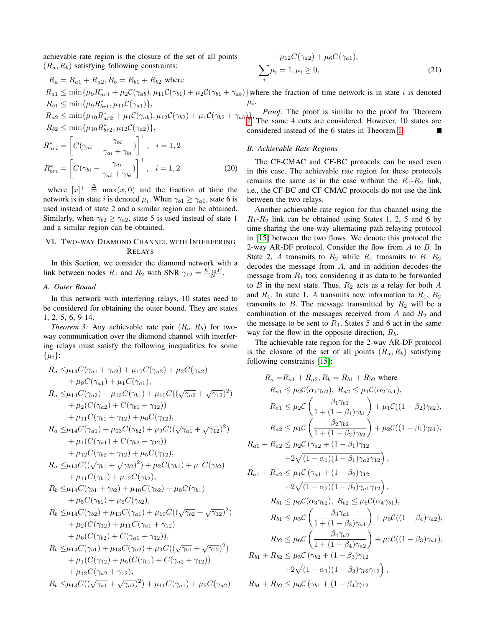achievable rate region is the closure of the set of all points  $(R_a, R_b)$  satisfying following constraints:

$$
R_a = R_{a1} + R_{a2}, R_b = R_{b1} + R_{b2} \text{ where}
$$
\n
$$
R_{a1} \le \min\{\mu_9 R_{a\tau1}^* + \mu_2 C(\gamma_{ab}), \mu_{11} C(\gamma_{b1}) + \mu_2 C(\gamma_{b1} + \gamma_{ab})\}\text{ where the fraction of time network is in state } i \text{ is denoted}
$$
\n
$$
R_{b1} \le \min\{\mu_9 R_{b\tau1}^*, \mu_{11} C(\gamma_{a1})\}, \qquad \mu_i.
$$
\n
$$
R_{a2} \le \min\{\mu_{10} R_{a\tau2}^* + \mu_1 C(\gamma_{ab}), \mu_{12} C(\gamma_{b2}) + \mu_1 C(\gamma_{b2} + \gamma_{ab})\}, \qquad \text{Proof: The proof is similar to the proof for Theorem}
$$
\n
$$
R_{b2} \le \min\{\mu_{10} R_{b\tau2}^*, \mu_{12} C(\gamma_{a2})\}, \qquad \text{Conjecture: The same 4 cuts are considered. However, 10 states are considered instead of the 6 states in Theorem 1.}
$$
\n
$$
R_{a\tau i}^* = \left[C(\gamma_{ai} - \frac{\gamma_{bi}}{\gamma_{ai} + \gamma_{bi}})\right]^+, \quad i = 1, 2
$$
\n
$$
R_{b\tau i}^* = \left[C(\gamma_{bi} - \frac{\gamma_{ai}}{\gamma_{ai} + \gamma_{bi}})\right]^+, \quad i = 1, 2
$$
\n
$$
\text{The CF-CMAC and CF-BC protocols can be used even in this case. The achievable rate region for these protocols}
$$

where  $[x]^+ \triangleq \max(x, 0)$  and the fraction of time the network is in state *i* is denoted  $\mu_i$ . When  $\gamma_{b1} \geq \gamma_{a1}$ , state 6 is used instead of state 2 and a similar region can be obtained. Similarly, when  $\gamma_{b2} \geq \gamma_{a2}$ , state 5 is used instead of state 1 and a similar region can be obtained.

# VI. TWO-WAY DIAMOND CHANNEL WITH INTERFERING RELAYS

In this Section, we consider the diamond network with a link between nodes  $R_1$  and  $R_2$  with SNR  $\gamma_{12} = \frac{h^2_{12}P}{N}$ .

# *A. Outer Bound*

In this network with interfering relays, 10 states need to be considered for obtaining the outer bound. They are states 1, 2, 5, 6, 9-14.

*Theorem 3:* Any achievable rate pair  $(R_a, R_b)$  for twoway communication over the diamond channel with interfering relays must satisfy the following inequalities for some  $\{\mu_i\}$ :

$$
R_a \leq \mu_{14}C(\gamma_{a1} + \gamma_{a2}) + \mu_{10}C(\gamma_{a2}) + \mu_{2}C(\gamma_{a2})
$$
  
+  $\mu_{9}C(\gamma_{a1}) + \mu_{1}C(\gamma_{a1}),$   

$$
R_a \leq \mu_{14}C(\gamma_{a2}) + \mu_{13}C(\gamma_{b1}) + \mu_{10}C((\sqrt{\gamma_{a2}} + \sqrt{\gamma_{12}})^2)
$$
  
+  $\mu_{2}(C(\gamma_{a2}) + C(\gamma_{b1} + \gamma_{12}))$   
+  $\mu_{11}C(\gamma_{b1} + \gamma_{12}) + \mu_{6}C(\gamma_{12}),$   

$$
R_a \leq \mu_{14}C(\gamma_{a1}) + \mu_{13}C(\gamma_{b2}) + \mu_{9}C((\sqrt{\gamma_{a1}} + \sqrt{\gamma_{12}})^2)
$$
  
+  $\mu_{12}C(\gamma_{b1} + \gamma_{12}) + \mu_{5}C(\gamma_{12}),$   

$$
R_a \leq \mu_{13}C((\sqrt{\gamma_{b1}} + \sqrt{\gamma_{b2}})^2) + \mu_{2}C(\gamma_{b1}) + \mu_{1}C(\gamma_{b2})
$$
  
+  $\mu_{11}C(\gamma_{b1}) + \mu_{12}C(\gamma_{b2}),$   

$$
R_b \leq \mu_{14}C(\gamma_{b1} + \gamma_{b2}) + \mu_{10}C(\gamma_{b2}) + \mu_{9}C(\gamma_{b1})
$$
  
+  $\mu_{5}C(\gamma_{b1}) + \mu_{6}C(\gamma_{b2}),$   

$$
R_b \leq \mu_{14}C(\gamma_{b1} + \gamma_{b2}) + \mu_{10}C(\gamma_{b2}) + \mu_{9}C(\gamma_{b1})
$$
  
+  $\mu_{5}C(\gamma_{b1}) + \mu_{6}C(\gamma_{b2}),$   

$$
R_b \leq \mu_{14}C(\gamma_{b2}) + \mu_{13}C(\gamma_{a1}) + \mu_{10}C((\sqrt{\gamma_{b2}} + \sqrt{\gamma_{12}})^2) + \mu_{2}(C(\gamma_{12}) + \mu_{11}C(\gamma_{a1} + \gamma_{12}) + \mu_{6}(C(\gamma_{b2}) + C(\gamma_{a1} + \gamma_{1
$$

+ 
$$
\mu_{12}C(\gamma_{a2}) + \mu_6C(\gamma_{a1}),
$$
  
\n
$$
\sum_{i} \mu_i = 1, \mu_i \ge 0,
$$
\n(21)

*Proof:* The proof is similar to the proof for Theorem [1.](#page-1-2) The same 4 cuts are considered. However, 10 states are í

The CF-CMAC and CF-BC protocols can be used even in this case. The achievable rate region for these protocols remains the same as in the case without the  $R_1 - R_2$  link, i.e., the CF-BC and CF-CMAC protocols do not use the link between the two relays.

Another achievable rate region for this channel using the  $R_1 - R_2$  link can be obtained using States 1, 2, 5 and 6 by time-sharing the one-way alternating path relaying protocol in [\[15\]](#page-7-12) between the two flows. We denote this protocol the 2-way AR-DF protocol. Consider the flow from  $A$  to  $B$ . In State 2, A transmits to  $R_2$  while  $R_1$  transmits to B.  $R_2$ decodes the message from A, and in addition decodes the message from  $R_1$  too, considering it as data to be forwarded to B in the next state. Thus,  $R_2$  acts as a relay for both A and  $R_1$ . In state 1, A transmits new information to  $R_1$ ,  $R_2$ transmits to  $B$ . The message transmitted by  $R_2$  will be a combination of the messages received from  $A$  and  $R_2$  and the message to be sent to  $R_1$ . States 5 and 6 act in the same way for the flow in the opposite direction,  $R<sub>b</sub>$ .

The achievable rate region for the 2-way AR-DF protocol is the closure of the set of all points  $(R_a, R_b)$  satisfying following constraints [\[15\]](#page-7-12):

$$
R_{a} = R_{a1} + R_{a2}, R_{b} = R_{b1} + R_{b2} \text{ where}
$$
  
\n
$$
R_{a1} \leq \mu_2 C(\alpha_1 \gamma_{a2}), R_{a2} \leq \mu_1 C(\alpha_2 \gamma_{a1}),
$$
  
\n
$$
R_{a1} \leq \mu_2 C\left(\frac{\beta_1 \gamma_{b1}}{1 + (1 - \beta_1) \gamma_{b1}}\right) + \mu_1 C((1 - \beta_2) \gamma_{b2}),
$$
  
\n
$$
R_{a2} \leq \mu_1 C\left(\frac{\beta_2 \gamma_{b2}}{1 + (1 - \beta_2) \gamma_{b2}}\right) + \mu_2 C((1 - \beta_1) \gamma_{b1}),
$$
  
\n
$$
R_{a1} + R_{a2} \leq \mu_2 C(\gamma_{a2} + (1 - \beta_1) \gamma_{12} + 2\sqrt{(1 - \alpha_1)(1 - \beta_1) \gamma_{a2} \gamma_{12}}),
$$
  
\n
$$
R_{a1} + R_{a2} \leq \mu_1 C(\gamma_{a1} + (1 - \beta_2) \gamma_{12} + 2\sqrt{(1 - \alpha_2)(1 - \beta_2) \gamma_{a1} \gamma_{12}}),
$$
  
\n
$$
R_{b1} \leq \mu_5 C(\alpha_3 \gamma_{b2}), R_{b2} \leq \mu_6 C(\alpha_4 \gamma_{b1}),
$$
  
\n
$$
R_{b1} \leq \mu_5 C\left(\frac{\beta_3 \gamma_{a1}}{1 + (1 - \beta_3) \gamma_{a1}}\right) + \mu_6 C((1 - \beta_4) \gamma_{a2}),
$$
  
\n
$$
R_{b2} \leq \mu_6 C\left(\frac{\beta_4 \gamma_{a2}}{1 + (1 - \beta_4) \gamma_{a2}}\right) + \mu_5 C((1 - \beta_3) \gamma_{a1}),
$$
  
\n
$$
R_{b1} + R_{b2} \leq \mu_5 C(\gamma_{b2} + (1 - \beta_3) \gamma_{12} + 2\sqrt{(1 - \alpha_3)(1 - \beta_3) \gamma_{b2} \gamma_{12}}),
$$
  
\n
$$
R_{b1} + R_{b2} \leq \mu_6 C(\gamma_{b1
$$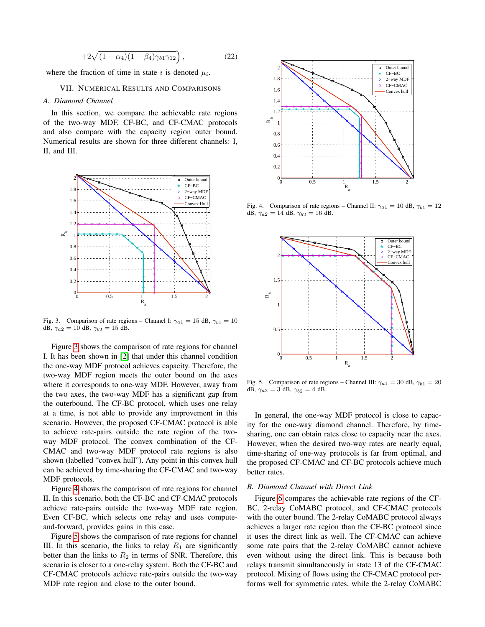$$
+2\sqrt{(1-\alpha_4)(1-\beta_4)\gamma_{b1}\gamma_{12}}\bigg)\,,\tag{22}
$$

where the fraction of time in state i is denoted  $\mu_i$ .

# VII. NUMERICAL RESULTS AND COMPARISONS

# *A. Diamond Channel*

In this section, we compare the achievable rate regions of the two-way MDF, CF-BC, and CF-CMAC protocols and also compare with the capacity region outer bound. Numerical results are shown for three different channels: I, II, and III.



<span id="page-6-0"></span>Fig. 3. Comparison of rate regions – Channel I:  $\gamma_{a1} = 15$  dB,  $\gamma_{b1} = 10$ dB,  $\gamma_{a2} = 10$  dB,  $\gamma_{b2} = 15$  dB.

Figure [3](#page-6-0) shows the comparison of rate regions for channel I. It has been shown in [\[2\]](#page-7-1) that under this channel condition the one-way MDF protocol achieves capacity. Therefore, the two-way MDF region meets the outer bound on the axes where it corresponds to one-way MDF. However, away from the two axes, the two-way MDF has a significant gap from the outerbound. The CF-BC protocol, which uses one relay at a time, is not able to provide any improvement in this scenario. However, the proposed CF-CMAC protocol is able to achieve rate-pairs outside the rate region of the twoway MDF protocol. The convex combination of the CF-CMAC and two-way MDF protocol rate regions is also shown (labelled "convex hull"). Any point in this convex hull can be achieved by time-sharing the CF-CMAC and two-way MDF protocols.

Figure [4](#page-6-1) shows the comparison of rate regions for channel II. In this scenario, both the CF-BC and CF-CMAC protocols achieve rate-pairs outside the two-way MDF rate region. Even CF-BC, which selects one relay and uses computeand-forward, provides gains in this case.

Figure [5](#page-6-2) shows the comparison of rate regions for channel III. In this scenario, the links to relay  $R_1$  are significantly better than the links to  $R_2$  in terms of SNR. Therefore, this scenario is closer to a one-relay system. Both the CF-BC and CF-CMAC protocols achieve rate-pairs outside the two-way MDF rate region and close to the outer bound.



<span id="page-6-1"></span>Fig. 4. Comparison of rate regions – Channel II:  $\gamma_{a1} = 10$  dB,  $\gamma_{b1} = 12$ dB,  $\gamma_{a2} = 14$  dB,  $\gamma_{b2} = 16$  dB.



<span id="page-6-2"></span>Fig. 5. Comparison of rate regions – Channel III:  $\gamma_{a1} = 30$  dB,  $\gamma_{b1} = 20$ dB,  $\gamma_{a2} = 3$  dB,  $\gamma_{b2} = 4$  dB.

In general, the one-way MDF protocol is close to capacity for the one-way diamond channel. Therefore, by timesharing, one can obtain rates close to capacity near the axes. However, when the desired two-way rates are nearly equal, time-sharing of one-way protocols is far from optimal, and the proposed CF-CMAC and CF-BC protocols achieve much better rates.

# *B. Diamond Channel with Direct Link*

Figure [6](#page-7-13) compares the achievable rate regions of the CF-BC, 2-relay CoMABC protocol, and CF-CMAC protocols with the outer bound. The 2-relay CoMABC protocol always achieves a larger rate region than the CF-BC protocol since it uses the direct link as well. The CF-CMAC can achieve some rate pairs that the 2-relay CoMABC cannot achieve even without using the direct link. This is because both relays transmit simultaneously in state 13 of the CF-CMAC protocol. Mixing of flows using the CF-CMAC protocol performs well for symmetric rates, while the 2-relay CoMABC